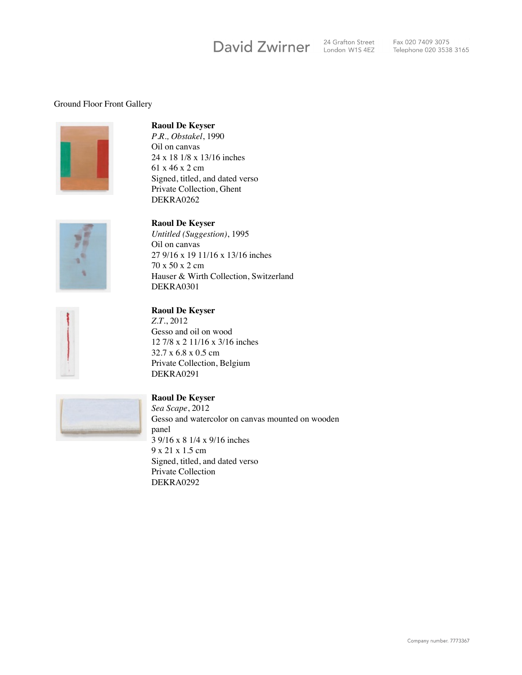# David Zwirner

24 Grafton Street 24 Grafton Street<br>London W1S 4EZ

#### Ground Floor Front Gallery



## **Raoul De Keyser**

*P.R., Obstakel*, 1990 Oil on canvas 24 x 18 1/8 x 13/16 inches 61 x 46 x 2 cm Signed, titled, and dated verso Private Collection, Ghent DEKRA0262



#### **Raoul De Keyser**

*Untitled (Suggestion)*, 1995 Oil on canvas 27 9/16 x 19 11/16 x 13/16 inches 70 x 50 x 2 cm Hauser & Wirth Collection, Switzerland DEKRA0301



#### **Raoul De Keyser**

*Z.T.*, 2012 Gesso and oil on wood 12 7/8 x 2 11/16 x 3/16 inches 32.7 x 6.8 x 0.5 cm Private Collection, Belgium DEKRA0291



## **Raoul De Keyser**

*Sea Scape*, 2012 Gesso and watercolor on canvas mounted on wooden panel 3 9/16 x 8 1/4 x 9/16 inches 9 x 21 x 1.5 cm Signed, titled, and dated verso Private Collection DEKRA0292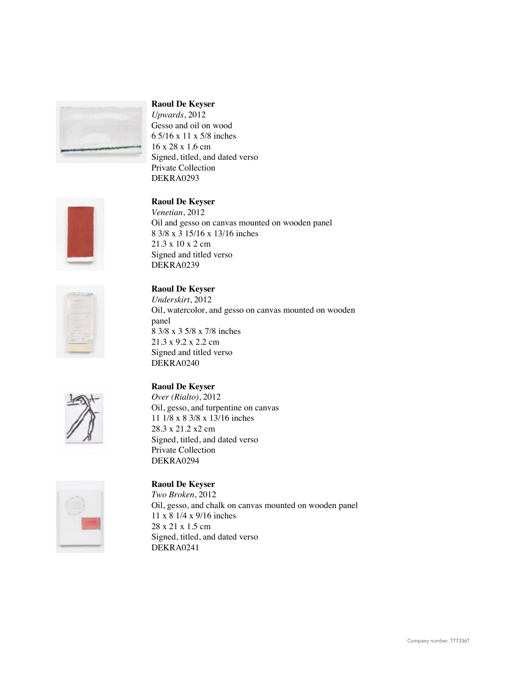

*Upwards*, 2012 Gesso and oil on wood 6 5/16 x 11 x 5/8 inches 16 x 28 x 1.6 cm Signed, titled, and dated verso Private Collection DEKRA0293



## **Raoul De Keyser**

*Venetian*, 2012 Oil and gesso on canvas mounted on wooden panel 8 3/8 x 3 15/16 x 13/16 inches 21.3 x 10 x 2 cm Signed and titled verso DEKRA0239

# **Raoul De Keyser**

*Underskirt*, 2012 Oil, watercolor, and gesso on canvas mounted on wooden panel 8 3/8 x 3 5/8 x 7/8 inches 21.3 x 9.2 x 2.2 cm Signed and titled verso DEKRA0240



## **Raoul De Keyser**

*Over (Rialto)*, 2012 Oil, gesso, and turpentine on canvas 11 1/8 x 8 3/8 x 13/16 inches 28.3 x 21.2 x2 cm Signed, titled, and dated verso Private Collection DEKRA0294



## **Raoul De Keyser**

*Two Broken*, 2012 Oil, gesso, and chalk on canvas mounted on wooden panel 11 x 8 1/4 x 9/16 inches 28 x 21 x 1.5 cm Signed, titled, and dated verso DEKRA0241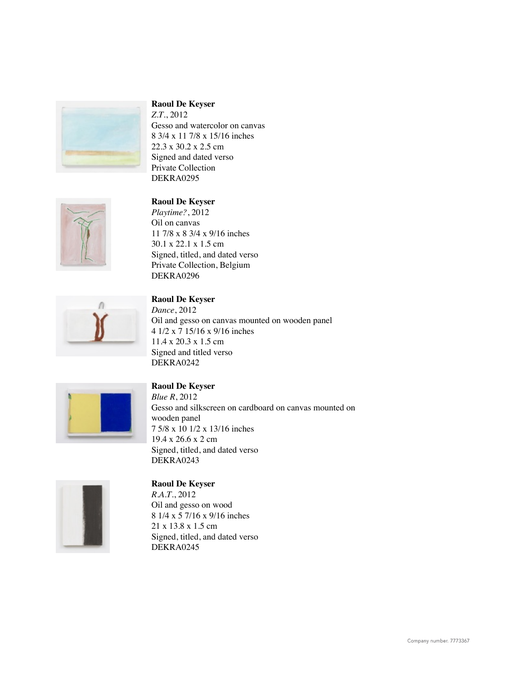

*Z.T.*, 2012 Gesso and watercolor on canvas 8 3/4 x 11 7/8 x 15/16 inches 22.3 x 30.2 x 2.5 cm Signed and dated verso Private Collection DEKRA0295



## **Raoul De Keyser**

*Playtime?*, 2012 Oil on canvas 11 7/8 x 8 3/4 x 9/16 inches 30.1 x 22.1 x 1.5 cm Signed, titled, and dated verso Private Collection, Belgium DEKRA0296



## **Raoul De Keyser**

*Dance*, 2012 Oil and gesso on canvas mounted on wooden panel 4 1/2 x 7 15/16 x 9/16 inches 11.4 x 20.3 x 1.5 cm Signed and titled verso DEKRA0242



## **Raoul De Keyser**

*Blue R*, 2012 Gesso and silkscreen on cardboard on canvas mounted on wooden panel 7 5/8 x 10 1/2 x 13/16 inches 19.4 x 26.6 x 2 cm Signed, titled, and dated verso DEKRA0243



#### **Raoul De Keyser**

*R.A.T.*, 2012 Oil and gesso on wood 8 1/4 x 5 7/16 x 9/16 inches 21 x 13.8 x 1.5 cm Signed, titled, and dated verso DEKRA0245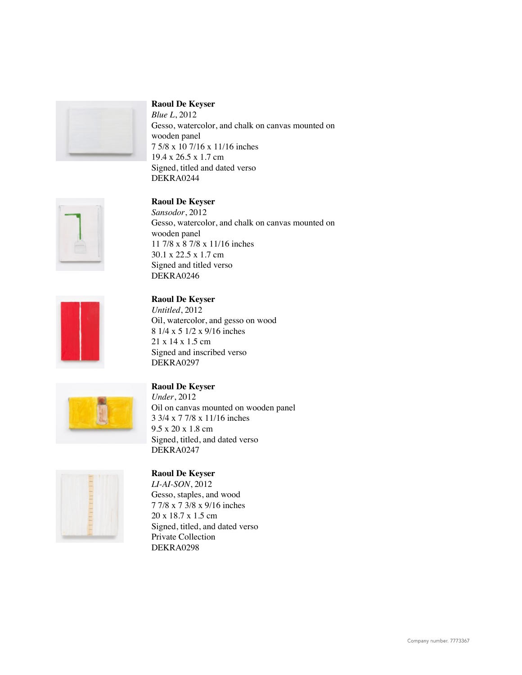

*Blue L*, 2012 Gesso, watercolor, and chalk on canvas mounted on wooden panel 7 5/8 x 10 7/16 x 11/16 inches 19.4 x 26.5 x 1.7 cm Signed, titled and dated verso DEKRA0244



## **Raoul De Keyser**

*Sansodor*, 2012 Gesso, watercolor, and chalk on canvas mounted on wooden panel 11 7/8 x 8 7/8 x 11/16 inches 30.1 x 22.5 x 1.7 cm Signed and titled verso DEKRA0246



#### **Raoul De Keyser**

*Untitled*, 2012 Oil, watercolor, and gesso on wood 8 1/4 x 5 1/2 x 9/16 inches 21 x 14 x 1.5 cm Signed and inscribed verso DEKRA0297



#### **Raoul De Keyser**

*Under*, 2012 Oil on canvas mounted on wooden panel 3 3/4 x 7 7/8 x 11/16 inches 9.5 x 20 x 1.8 cm Signed, titled, and dated verso DEKRA0247



## **Raoul De Keyser**

*LI-AI-SON*, 2012 Gesso, staples, and wood 7 7/8 x 7 3/8 x 9/16 inches 20 x 18.7 x 1.5 cm Signed, titled, and dated verso Private Collection DEKRA0298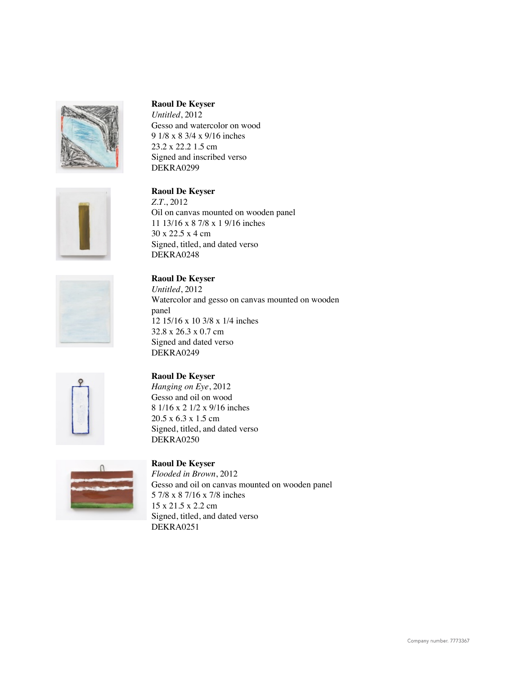

*Untitled*, 2012 Gesso and watercolor on wood 9 1/8 x 8 3/4 x 9/16 inches 23.2 x 22.2 1.5 cm Signed and inscribed verso DEKRA0299

## **Raoul De Keyser**

*Z.T.*, 2012 Oil on canvas mounted on wooden panel 11 13/16 x 8 7/8 x 1 9/16 inches 30 x 22.5 x 4 cm Signed, titled, and dated verso DEKRA0248

## **Raoul De Keyser**

*Untitled*, 2012 Watercolor and gesso on canvas mounted on wooden panel 12 15/16 x 10 3/8 x 1/4 inches 32.8 x 26.3 x 0.7 cm Signed and dated verso DEKRA0249



## **Raoul De Keyser**

*Hanging on Eye*, 2012 Gesso and oil on wood 8 1/16 x 2 1/2 x 9/16 inches 20.5 x 6.3 x 1.5 cm Signed, titled, and dated verso DEKRA0250



## **Raoul De Keyser**

*Flooded in Brown*, 2012 Gesso and oil on canvas mounted on wooden panel 5 7/8 x 8 7/16 x 7/8 inches 15 x 21.5 x 2.2 cm Signed, titled, and dated verso DEKRA0251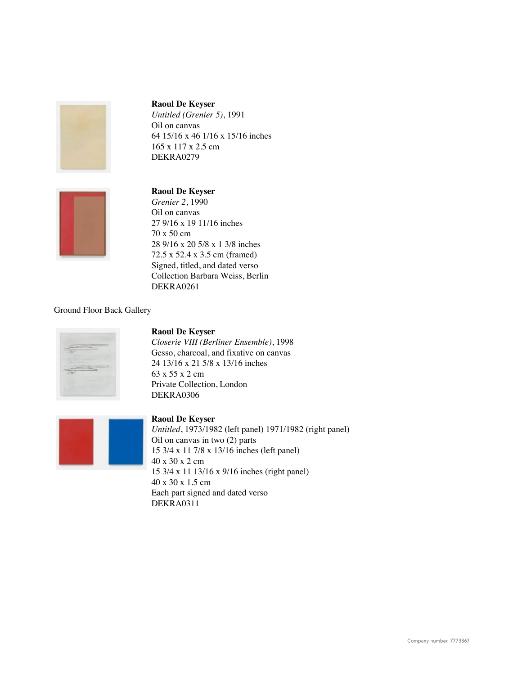

*Untitled (Grenier 5)*, 1991 Oil on canvas 64 15/16 x 46 1/16 x 15/16 inches 165 x 117 x 2.5 cm DEKRA0279



#### **Raoul De Keyser**

*Grenier 2*, 1990 Oil on canvas 27 9/16 x 19 11/16 inches 70 x 50 cm 28 9/16 x 20 5/8 x 1 3/8 inches 72.5 x 52.4 x 3.5 cm (framed) Signed, titled, and dated verso Collection Barbara Weiss, Berlin DEKRA0261

#### Ground Floor Back Gallery



## **Raoul De Keyser**

*Closerie VIII (Berliner Ensemble)*, 1998 Gesso, charcoal, and fixative on canvas 24 13/16 x 21 5/8 x 13/16 inches 63 x 55 x 2 cm Private Collection, London DEKRA0306



#### **Raoul De Keyser**

*Untitled*, 1973/1982 (left panel) 1971/1982 (right panel) Oil on canvas in two (2) parts 15 3/4 x 11 7/8 x 13/16 inches (left panel) 40 x 30 x 2 cm 15 3/4 x 11 13/16 x 9/16 inches (right panel) 40 x 30 x 1.5 cm Each part signed and dated verso DEKRA0311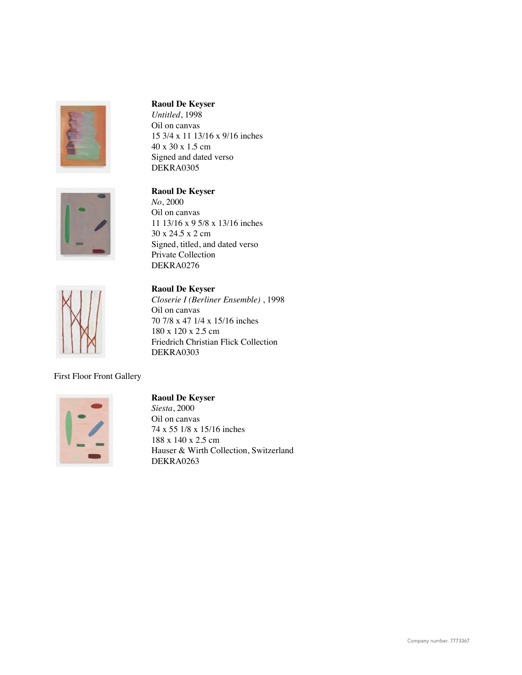



*Untitled*, 1998 Oil on canvas 15 3/4 x 11 13/16 x 9/16 inches 40 x 30 x 1.5 cm Signed and dated verso DEKRA0305

## **Raoul De Keyser**

*No*, 2000 Oil on canvas 11 13/16 x 9 5/8 x 13/16 inches 30 x 24.5 x 2 cm Signed, titled, and dated verso Private Collection DEKRA0276



**Raoul De Keyser** *Closerie I (Berliner Ensemble)* , 1998 Oil on canvas 70 7/8 x 47 1/4 x 15/16 inches 180 x 120 x 2.5 cm Friedrich Christian Flick Collection DEKRA0303

First Floor Front Gallery



#### **Raoul De Keyser**

*Siesta*, 2000 Oil on canvas 74 x 55 1/8 x 15/16 inches 188 x 140 x 2.5 cm Hauser & Wirth Collection, Switzerland DEKRA0263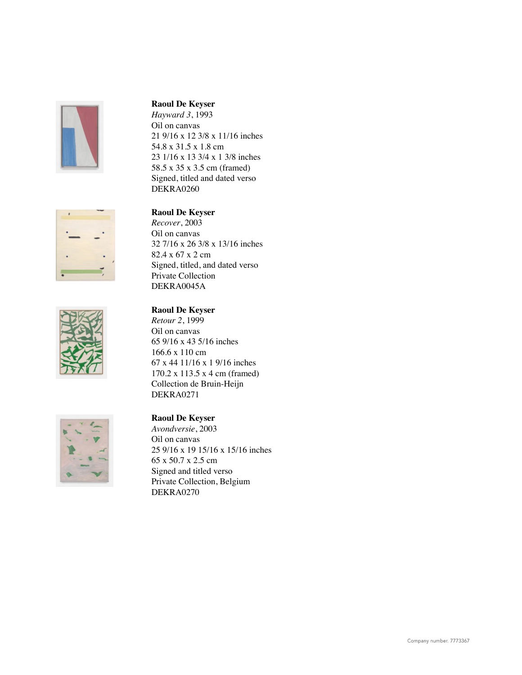





*Hayward 3*, 1993 Oil on canvas 21 9/16 x 12 3/8 x 11/16 inches 54.8 x 31.5 x 1.8 cm 23 1/16 x 13 3/4 x 1 3/8 inches 58.5 x 35 x 3.5 cm (framed) Signed, titled and dated verso DEKRA0260

## **Raoul De Keyser**

*Recover*, 2003 Oil on canvas 32 7/16 x 26 3/8 x 13/16 inches 82.4 x 67 x 2 cm Signed, titled, and dated verso Private Collection DEKRA0045A

#### **Raoul De Keyser** *Retour 2*, 1999

Oil on canvas 65 9/16 x 43 5/16 inches 166.6 x 110 cm 67 x 44 11/16 x 1 9/16 inches 170.2 x 113.5 x 4 cm (framed) Collection de Bruin-Heijn DEKRA0271



## **Raoul De Keyser**

*Avondversie*, 2003 Oil on canvas 25 9/16 x 19 15/16 x 15/16 inches 65 x 50.7 x 2.5 cm Signed and titled verso Private Collection, Belgium DEKRA0270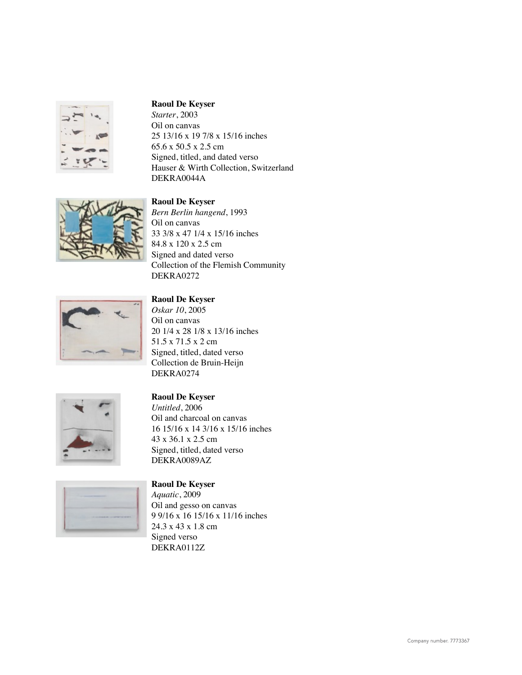

*Starter*, 2003 Oil on canvas 25 13/16 x 19 7/8 x 15/16 inches 65.6 x 50.5 x 2.5 cm Signed, titled, and dated verso Hauser & Wirth Collection, Switzerland DEKRA0044A



#### **Raoul De Keyser**

*Bern Berlin hangend*, 1993 Oil on canvas 33 3/8 x 47 1/4 x 15/16 inches 84.8 x 120 x 2.5 cm Signed and dated verso Collection of the Flemish Community DEKRA0272



## **Raoul De Keyser**

*Oskar 10*, 2005 Oil on canvas 20 1/4 x 28 1/8 x 13/16 inches 51.5 x 71.5 x 2 cm Signed, titled, dated verso Collection de Bruin-Heijn DEKRA0274



#### **Raoul De Keyser** *Untitled*, 2006

Oil and charcoal on canvas 16 15/16 x 14 3/16 x 15/16 inches 43 x 36.1 x 2.5 cm Signed, titled, dated verso DEKRA0089AZ

#### **Raoul De Keyser**

*Aquatic*, 2009 Oil and gesso on canvas 9 9/16 x 16 15/16 x 11/16 inches 24.3 x 43 x 1.8 cm Signed verso DEKRA0112Z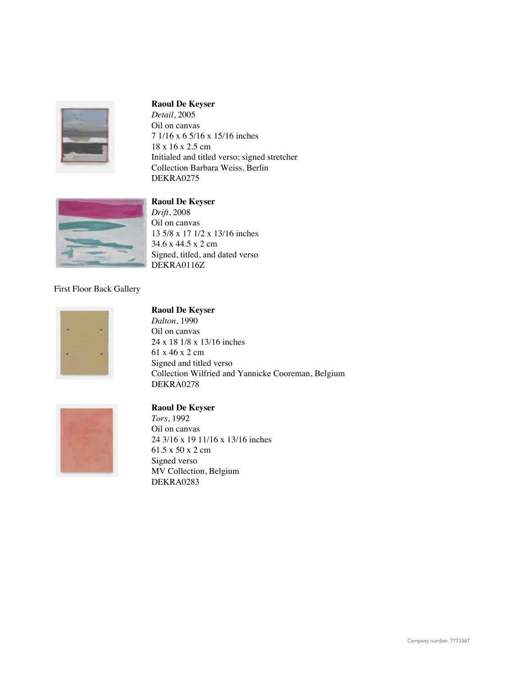

*Detail*, 2005 Oil on canvas 7 1/16 x 6 5/16 x 15/16 inches 18 x 16 x 2.5 cm Initialed and titled verso; signed stretcher Collection Barbara Weiss, Berlin DEKRA0275



#### **Raoul De Keyser**

*Drift*, 2008 Oil on canvas 13 5/8 x 17 1/2 x 13/16 inches 34.6 x 44.5 x 2 cm Signed, titled, and dated verso DEKRA0116Z

#### First Floor Back Gallery



#### **Raoul De Keyser**

*Dalton*, 1990 Oil on canvas 24 x 18 1/8 x 13/16 inches 61 x 46 x 2 cm Signed and titled verso Collection Wilfried and Yannicke Cooreman, Belgium DEKRA0278



## **Raoul De Keyser**

*Tors*, 1992 Oil on canvas 24 3/16 x 19 11/16 x 13/16 inches 61.5 x 50 x 2 cm Signed verso MV Collection, Belgium DEKRA0283